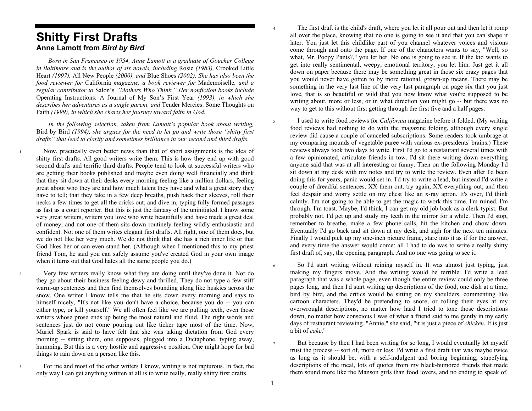## **Shitty First Drafts Anne Lamott from** *Bird by Bird*

2

3

*Born in San Francisco in 1954, Anne Lamott is a graduate of Goucher College in Baltimore and is the author of six novels, including* Rosie *(1983),* Crooked Little Heart *(1997),* All New People *(2000), and* Blue Shoes *(2002). She has also been the food reviewer for* California *magazine, a book reviewer for* Mademoiselle*, and a regular contributor to* Salon's *"Mothers Who Think." Her nonfiction books include* Operating Instructions: A Journal of My Son's First Year *(1993), in which she describes her adventures as a single parent, and* Tender Mercies: Some Thoughts on Faith *(1999), in which she charts her journey toward faith in God.* 

*In the following selection, taken from Lamott's popular book about writing,*  Bird by Bird *(1994), she argues for the need to let go and write those "shitty first drafts" that lead to clarity and sometimes brilliance in our second and third drafts.* 

 Now, practically even better news than that of short assignments is the idea of shitty first drafts. All good writers write them. This is how they end up with good second drafts and terrific third drafts. People tend to look at successful writers who are getting their books published and maybe even doing well financially and think that they sit down at their desks every morning feeling like a million dollars, feeling great about who they are and how much talent they have and what a great story they have to tell; that they take in a few deep breaths, push back their sleeves, roll their necks a few times to get all the cricks out, and dive in, typing fully formed passages as fast as a court reporter. But this is just the fantasy of the uninitiated. I know some very great writers, writers you love who write beautifully and have made a great deal of money, and not one of them sits down routinely feeling wildly enthusiastic and confident. Not one of them writes elegant first drafts. All right, one of them does, but we do not like her very much. We do not think that she has a rich inner life or that God likes her or can even stand her. (Although when I mentioned this to my priest friend Tom, he said you can safely assume you've created God in your own image when it turns out that God hates all the same people you do.)

 Very few writers really know what they are doing until they've done it. Nor do they go about their business feeling dewy and thrilled. They do not type a few stiff warm-up sentences and then find themselves bounding along like huskies across the snow. One writer I know tells me that he sits down every morning and says to himself nicely, "It's not like you don't have a choice, because you do -- you can either type, or kill yourself." We all often feel like we are pulling teeth, even those writers whose prose ends up being the most natural and fluid. The right words and sentences just do not come pouring out like ticker tape most of the time. Now, Muriel Spark is said to have felt that she was taking dictation from God every morning -- sitting there, one supposes, plugged into a Dictaphone, typing away, humming. But this is a very hostile and aggressive position. One might hope for bad things to rain down on a person like this.

 For me and most of the other writers I know, writing is not rapturous. In fact, the only way I can get anything written at all is to write really, really shitty first drafts.

 The first draft is the child's draft, where you let it all pour out and then let it romp all over the place, knowing that no one is going to see it and that you can shape it later. You just let this childlike part of you channel whatever voices and visions come through and onto the page. If one of the characters wants to say, "Well, so what, Mr. Poopy Pants?," you let her. No one is going to see it. If the kid wants to get into really sentimental, weepy, emotional territory, you let him. Just get it all down on paper because there may be something great in those six crazy pages that you would never have gotten to by more rational, grown-up means. There may be something in the very last line of the very last paragraph on page six that you just love, that is so beautiful or wild that you now know what you're supposed to be writing about, more or less, or in what direction you might go -- but there was no way to get to this without first getting through the first five and a half pages.

 I used to write food reviews for *California* magazine before it folded. (My writing food reviews had nothing to do with the magazine folding, although every single review did cause a couple of canceled subscriptions. Some readers took umbrage at my comparing mounds of vegetable puree with various ex-presidents' brains.) These reviews always took two days to write. First I'd go to a restaurant several times with a few opinionated, articulate friends in tow. I'd sit there writing down everything anyone said that was at all interesting or funny. Then on the following Monday I'd sit down at my desk with my notes and try to write the review. Even after I'd been doing this for years, panic would set in. I'd try to write a lead, but instead I'd write a couple of dreadful sentences, XX them out, try again, XX everything out, and then feel despair and worry settle on my chest like an x-ray apron. It's over, I'd think calmly. I'm not going to be able to get the magic to work this time. I'm ruined. I'm through. I'm toast. Maybe, I'd think, I can get my old job back as a clerk-typist. But probably not. I'd get up and study my teeth in the mirror for a while. Then I'd stop, remember to breathe, make a few phone calls, hit the kitchen and chow down. Eventually I'd go back and sit down at my desk, and sigh for the next ten minutes. Finally I would pick up my one-inch picture frame, stare into it as if for the answer, and every time the answer would come: all I had to do was to write a really shitty first draft of, say, the opening paragraph. And no one was going to see it.

 So I'd start writing without reining myself in. It was almost just typing, just making my fingers move. And the writing would be terrible. I'd write a lead paragraph that was a whole page, even though the entire review could only be three pages long, and then I'd start writing up descriptions of the food, one dish at a time, bird by bird, and the critics would be sitting on my shoulders, commenting like cartoon characters. They'd be pretending to snore, or rolling their eyes at my overwrought descriptions, no matter how hard I tried to tone those descriptions down, no matter how conscious I was of what a friend said to me gently in my early days of restaurant reviewing. "Annie," she said, "it is just a piece of *chicken*. It is just a bit of *cake*."

 But because by then I had been writing for so long, I would eventually let myself trust the process -- sort of, more or less. I'd write a first draft that was maybe twice as long as it should be, with a self-indulgent and boring beginning, stupefying descriptions of the meal, lots of quotes from my black-humored friends that made them sound more like the Manson girls than food lovers, and no ending to speak of.

7

6

4

5